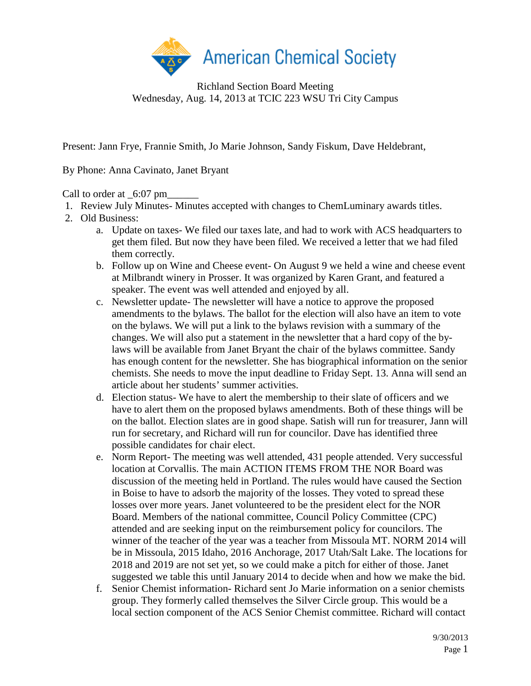

Richland Section Board Meeting Wednesday, Aug. 14, 2013 at TCIC 223 WSU Tri City Campus

Present: Jann Frye, Frannie Smith, Jo Marie Johnson, Sandy Fiskum, Dave Heldebrant,

By Phone: Anna Cavinato, Janet Bryant

Call to order at  $6:07$  pm

- 1. Review July Minutes- Minutes accepted with changes to ChemLuminary awards titles.
- 2. Old Business:
	- a. Update on taxes- We filed our taxes late, and had to work with ACS headquarters to get them filed. But now they have been filed. We received a letter that we had filed them correctly.
	- b. Follow up on Wine and Cheese event- On August 9 we held a wine and cheese event at Milbrandt winery in Prosser. It was organized by Karen Grant, and featured a speaker. The event was well attended and enjoyed by all.
	- c. Newsletter update- The newsletter will have a notice to approve the proposed amendments to the bylaws. The ballot for the election will also have an item to vote on the bylaws. We will put a link to the bylaws revision with a summary of the changes. We will also put a statement in the newsletter that a hard copy of the bylaws will be available from Janet Bryant the chair of the bylaws committee. Sandy has enough content for the newsletter. She has biographical information on the senior chemists. She needs to move the input deadline to Friday Sept. 13. Anna will send an article about her students' summer activities.
	- d. Election status- We have to alert the membership to their slate of officers and we have to alert them on the proposed bylaws amendments. Both of these things will be on the ballot. Election slates are in good shape. Satish will run for treasurer, Jann will run for secretary, and Richard will run for councilor. Dave has identified three possible candidates for chair elect.
	- e. Norm Report- The meeting was well attended, 431 people attended. Very successful location at Corvallis. The main ACTION ITEMS FROM THE NOR Board was discussion of the meeting held in Portland. The rules would have caused the Section in Boise to have to adsorb the majority of the losses. They voted to spread these losses over more years. Janet volunteered to be the president elect for the NOR Board. Members of the national committee, Council Policy Committee (CPC) attended and are seeking input on the reimbursement policy for councilors. The winner of the teacher of the year was a teacher from Missoula MT. NORM 2014 will be in Missoula, 2015 Idaho, 2016 Anchorage, 2017 Utah/Salt Lake. The locations for 2018 and 2019 are not set yet, so we could make a pitch for either of those. Janet suggested we table this until January 2014 to decide when and how we make the bid.
	- f. Senior Chemist information- Richard sent Jo Marie information on a senior chemists group. They formerly called themselves the Silver Circle group. This would be a local section component of the ACS Senior Chemist committee. Richard will contact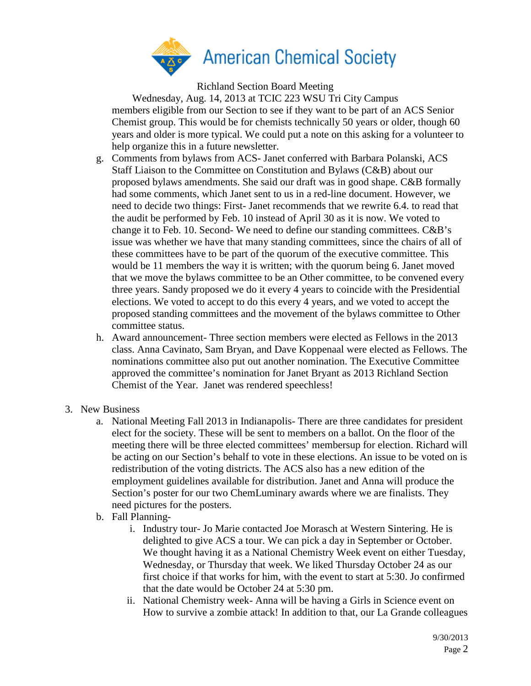

Richland Section Board Meeting

Wednesday, Aug. 14, 2013 at TCIC 223 WSU Tri City Campus members eligible from our Section to see if they want to be part of an ACS Senior Chemist group. This would be for chemists technically 50 years or older, though 60 years and older is more typical. We could put a note on this asking for a volunteer to help organize this in a future newsletter.

- g. Comments from bylaws from ACS- Janet conferred with Barbara Polanski, ACS Staff Liaison to the Committee on Constitution and Bylaws (C&B) about our proposed bylaws amendments. She said our draft was in good shape. C&B formally had some comments, which Janet sent to us in a red-line document. However, we need to decide two things: First- Janet recommends that we rewrite 6.4. to read that the audit be performed by Feb. 10 instead of April 30 as it is now. We voted to change it to Feb. 10. Second- We need to define our standing committees. C&B's issue was whether we have that many standing committees, since the chairs of all of these committees have to be part of the quorum of the executive committee. This would be 11 members the way it is written; with the quorum being 6. Janet moved that we move the bylaws committee to be an Other committee, to be convened every three years. Sandy proposed we do it every 4 years to coincide with the Presidential elections. We voted to accept to do this every 4 years, and we voted to accept the proposed standing committees and the movement of the bylaws committee to Other committee status.
- h. Award announcement- Three section members were elected as Fellows in the 2013 class. Anna Cavinato, Sam Bryan, and Dave Koppenaal were elected as Fellows. The nominations committee also put out another nomination. The Executive Committee approved the committee's nomination for Janet Bryant as 2013 Richland Section Chemist of the Year. Janet was rendered speechless!
- 3. New Business
	- a. National Meeting Fall 2013 in Indianapolis- There are three candidates for president elect for the society. These will be sent to members on a ballot. On the floor of the meeting there will be three elected committees' membersup for election. Richard will be acting on our Section's behalf to vote in these elections. An issue to be voted on is redistribution of the voting districts. The ACS also has a new edition of the employment guidelines available for distribution. Janet and Anna will produce the Section's poster for our two ChemLuminary awards where we are finalists. They need pictures for the posters.
	- b. Fall Planning
		- i. Industry tour- Jo Marie contacted Joe Morasch at Western Sintering. He is delighted to give ACS a tour. We can pick a day in September or October. We thought having it as a National Chemistry Week event on either Tuesday, Wednesday, or Thursday that week. We liked Thursday October 24 as our first choice if that works for him, with the event to start at 5:30. Jo confirmed that the date would be October 24 at 5:30 pm.
		- ii. National Chemistry week- Anna will be having a Girls in Science event on How to survive a zombie attack! In addition to that, our La Grande colleagues